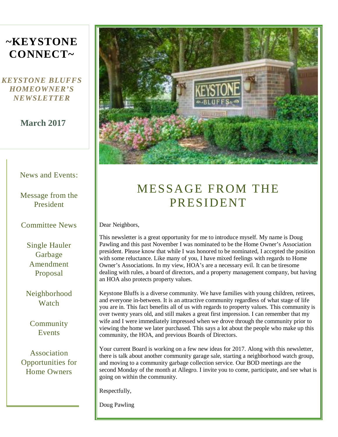# **~KEYSTONE CONNECT~**

### *KEYSTONE BLUFFS HOMEOWNER'S NEWSLETTER*

### **March 2017**

#### News and Events:

Message from the President

#### Committee News

Single Hauler Garbage Amendment Proposal

Neighborhood Watch

Community Events

Association Opportunities for Home Owners



# MESSAGE FROM THE PRESIDENT

Dear Neighbors,

This newsletter is a great opportunity for me to introduce myself. My name is Doug Pawling and this past November I was nominated to be the Home Owner's Association president. Please know that while I was honored to be nominated, I accepted the position with some reluctance. Like many of you, I have mixed feelings with regards to Home Owner's Associations. In my view, HOA's are a necessary evil. It can be tiresome dealing with rules, a board of directors, and a property management company, but having an HOA also protects property values.

Keystone Bluffs is a diverse community. We have families with young children, retirees, and everyone in-between. It is an attractive community regardless of what stage of life you are in. This fact benefits all of us with regards to property values. This community is over twenty years old, and still makes a great first impression. I can remember that my wife and I were immediately impressed when we drove through the community prior to viewing the home we later purchased. This says a lot about the people who make up this community, the HOA, and previous Boards of Directors.

Your current Board is working on a few new ideas for 2017. Along with this newsletter, there is talk about another community garage sale, starting a neighborhood watch group, and moving to a community garbage collection service. Our BOD meetings are the second Monday of the month at Allegro. I invite you to come, participate, and see what is going on within the community.

Respectfully,

Doug Pawling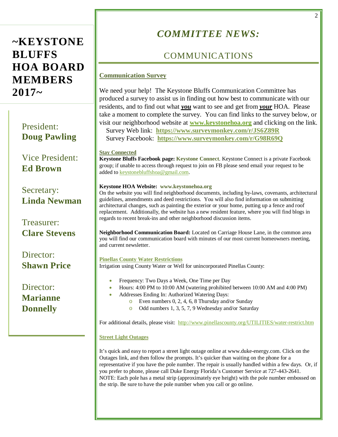# **~KEYSTONE BLUFFS HOA BOARD MEMBERS 2017~**

President: **Doug Pawling** 

 Vice President: **Ed Brown**

Secretary: **Linda Newman**

Treasurer: **Clare Stevens**

Director: **Shawn Price**

Director: **Marianne Donnelly**

# *COMMITTEE NEWS:*

## COMMUNICATIONS

#### **Communication Survey**

We need your help! The Keystone Bluffs Communication Committee has produced a survey to assist us in finding out how best to communicate with our residents, and to find out what *you* want to see and get from *your* HOA. Please take a moment to complete the survey. You can find links to the survey below, or visit our neighborhood website at **[www.keystonehoa.org](http://www.keystonehoa.org/)** and clicking on the link.

 Survey Web link: **<https://www.surveymonkey.com/r/JS6Z89R>** Survey Facebook: **<https://www.surveymonkey.com/r/G98R69Q>**

#### **Stay Connected**

**Keystone Bluffs Facebook page: Keystone Connect**. Keystone Connect is a private Facebook group; if unable to access through request to join on FB please send email your request to be added t[o keystonebluffshoa@gmail.com.](mailto:keystonebluffshoa@gmail.com)

#### **Keystone HOA Website: www.keystonehoa.org**

On the website you will find neighborhood documents, including by-laws, covenants, architectural guidelines, amendments and deed restrictions. You will also find information on submitting architectural changes, such as painting the exterior or your home, putting up a fence and roof replacement. Additionally, the website has a new resident feature, where you will find blogs in regards to recent break-ins and other neighborhood discussion items.

**Neighborhood Communication Board:** Located on Carriage House Lane, in the common area you will find our communication board with minutes of our most current homeowners meeting, and current newsletter.

#### **Pinellas County Water Restrictions**

Irrigation using County Water or Well for unincorporated Pinellas County:

- Frequency: Two Days a Week, One Time per Day
- Hours: 4:00 PM to 10:00 AM (watering prohibited between 10:00 AM and 4:00 PM)
	- Addresses Ending In: Authorized Watering Days:
		- o Even numbers 0, 2, 4, 6, 8 Thursday and/or Sunday
		- o Odd numbers 1, 3, 5, 7, 9 Wednesday and/or Saturday

For additional details, please visit:<http://www.pinellascounty.org/UTILITIES/water-restrict.htm>

#### **Street Light Outages**

It's quick and easy to report a street light outage online at www.duke-energy.com. Click on the Outages link, and then follow the prompts. It's quicker than waiting on the phone for a representative if you have the pole number. The repair is usually handled within a few days. Or, if you prefer to phone, please call Duke Energy Florida's Customer Service at 727-443-2641. NOTE: Each pole has a metal strip (approximately eye height) with the pole number embossed on the strip. Be sure to have the pole number when you call or go online.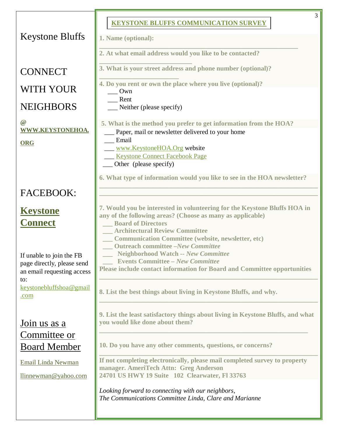|                                                                                             | 3<br><b>KEYSTONE BLUFFS COMMUNICATION SURVEY</b>                                                                                                                                                                                                                           |
|---------------------------------------------------------------------------------------------|----------------------------------------------------------------------------------------------------------------------------------------------------------------------------------------------------------------------------------------------------------------------------|
| <b>Keystone Bluffs</b>                                                                      | 1. Name (optional):                                                                                                                                                                                                                                                        |
|                                                                                             | 2. At what email address would you like to be contacted?                                                                                                                                                                                                                   |
| <b>CONNECT</b>                                                                              | 3. What is your street address and phone number (optional)?                                                                                                                                                                                                                |
| WITH YOUR                                                                                   | 4. Do you rent or own the place where you live (optional)?<br>Own                                                                                                                                                                                                          |
| <b>NEIGHBORS</b>                                                                            | Rent<br>Neither (please specify)                                                                                                                                                                                                                                           |
| $\circleda$<br>WWW.KEYSTONEHOA.                                                             | 5. What is the method you prefer to get information from the HOA?<br>Paper, mail or newsletter delivered to your home                                                                                                                                                      |
| <b>ORG</b>                                                                                  | Email<br>www.KeystoneHOA.Org website                                                                                                                                                                                                                                       |
|                                                                                             | <b>Keystone Connect Facebook Page</b><br>Other (please specify)                                                                                                                                                                                                            |
|                                                                                             | 6. What type of information would you like to see in the HOA newsletter?                                                                                                                                                                                                   |
| <b>FACEBOOK:</b>                                                                            |                                                                                                                                                                                                                                                                            |
| <b>Keystone</b><br><b>Connect</b>                                                           | 7. Would you be interested in volunteering for the Keystone Bluffs HOA in<br>any of the following areas? (Choose as many as applicable)<br><b>Board of Directors</b><br><b>Architectural Review Committee</b><br><b>Communication Committee (website, newsletter, etc)</b> |
| If unable to join the FB<br>page directly, please send<br>an email requesting access<br>to: | <b>Outreach committee -New Committee</b><br><b>Neighborhood Watch -- New Committee</b><br><b>Events Committee - New Committee</b><br><b>Please include contact information for Board and Committee opportunities</b>                                                       |
| keystonebluffshoa@gmail<br>.com                                                             | 8. List the best things about living in Keystone Bluffs, and why.                                                                                                                                                                                                          |
| Join us as a                                                                                | 9. List the least satisfactory things about living in Keystone Bluffs, and what<br>you would like done about them?                                                                                                                                                         |
| Committee or<br><b>Board Member</b>                                                         | 10. Do you have any other comments, questions, or concerns?                                                                                                                                                                                                                |
| Email Linda Newman<br>llinnewman@yahoo.com                                                  | If not completing electronically, please mail completed survey to property<br>manager. AmeriTech Attn: Greg Anderson<br>24701 US HWY 19 Suite 102 Clearwater, Fl 33763                                                                                                     |
|                                                                                             | Looking forward to connecting with our neighbors,<br>The Communications Committee Linda, Clare and Marianne                                                                                                                                                                |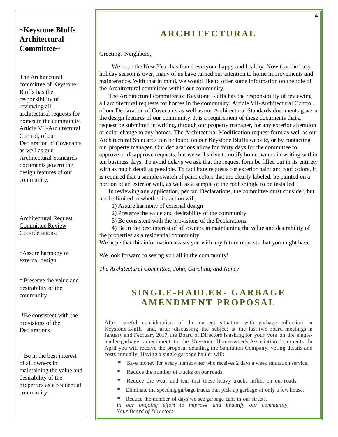### **~Keystone Bluffs Architectural Committee~**

The Architectural committee of Keystone Bluffs has the responsibility of reviewing all architectural requests for homes in the community. Article VII-Architectural Control, of our Declaration of Covenants as well as our Architectural Standards documents govern the design features of our community.

#### Architectural Request Committee Review Considerations:

\*Assure harmony of external design

\* Preserve the value and desirability of the community

\*Be consistent with the provisions of the **Declarations** 

\* Be in the best interest of all owners in maintaining the value and desirability of the properties as a residential community

## **ARCHITECTURAL**

Greetings Neighbors,

We hope the New Year has found everyone happy and healthy. Now that the busy holiday season is over, many of us have turned our attention to home improvements and maintenance. With that in mind, we would like to offer some information on the role of the Architectural committee within our community.

The Architectural committee of Keystone Bluffs has the responsibility of reviewing all architectural requests for homes in the community. Article VII-Architectural Control, of our Declaration of Covenants as well as our Architectural Standards documents govern the design features of our community. It is a requirement of these documents that a request be submitted in writing, through our property manager, for any exterior alteration or color change to any homes. The Architectural Modification request form as well as our Architectural Standards can be found on our Keystone Bluffs website, or by contacting our property manager. Our declarations allow for thirty days for the committee to approve or disapprove requests, but we will strive to notify homeowners in writing within ten business days. To avoid delays we ask that the request form be filled out in its entirety with as much detail as possible. To facilitate requests for exterior paint and roof colors, it is required that a sample swatch of paint colors that are clearly labeled, be painted on a portion of an exterior wall, as well as a sample of the roof shingle to be installed.

In reviewing any application, per our Declarations, the committee must consider, but not be limited to whether its action will;

- 1) Assure harmony of external design
- 2) Preserve the value and desirability of the community
- 3) Be consistent with the provisions of the Declarations

4) Be in the best interest of all owners in maintaining the value and desirability of the properties as a residential community

We hope that this information assists you with any future requests that you might have.

We look forward to seeing you all in the community!

*The Architectural Committee, John, Carolina, and Nancy*

## **SINGLE-HAULER- GARBAGE A MENDMENT PROPOSAL**

After careful consideration of the current situation with garbage collection in Keystone Bluffs and, after discussing the subject at the last two board meetings in January and February 2017, the Board of Directors is asking for your vote on the singlehauler-garbage amendment to the Keystone Homeowner's Association documents. In April you will receive the proposal detailing the Sanitation Company, voting details and costs annually. Having a single garbage hauler will:

- Save money for every homeowner who receives 2 days a week sanitation service.
- Reduce the number of trucks on our roads.
- Reduce the wear and tear that these heavy trucks inflict on our roads.
- Eliminate the speeding garbage trucks that pick-up garbage at only <sup>a</sup> few houses
- Reduce the number of days we see garbage cans in our streets.
- *In our ongoing effort to improve and beautify our community, Your Board of Directors*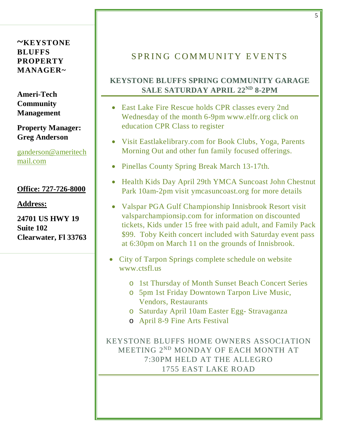#### **~KEYSTONE BLUFFS PROPERTY MANAGER~**

**Ameri-Tech Community Management**

### **Property Manager: Greg Anderson**

[ganderson@ameritech](mailto:ganderson@ameritechmail.com) [mail.com](mailto:ganderson@ameritechmail.com)

### **Office: 727-726-8000**

**Address:**

**24701 US HWY 19 Suite 102 Clearwater, Fl 33763**

## SPRING COMMUNITY EVENTS

## **KEYSTONE BLUFFS SPRING COMMUNITY GARAGE SALE SATURDAY APRIL 22ND 8-2PM**

- East Lake Fire Rescue holds CPR classes every 2nd Wednesday of the month 6-9pm www.elfr.org click on education CPR Class to register
- Visit Eastlakelibrary.com for Book Clubs, Yoga, Parents Morning Out and other fun family focused offerings.
- Pinellas County Spring Break March 13-17th.
- Health Kids Day April 29th YMCA Suncoast John Chestnut Park 10am-2pm visit ymcasuncoast.org for more details
- Valspar PGA Gulf Championship Innisbrook Resort visit valsparchampionsip.com for information on discounted tickets, Kids under 15 free with paid adult, and Family Pack \$99. Toby Keith concert included with Saturday event pass at 6:30pm on March 11 on the grounds of Innisbrook.
- City of Tarpon Springs complete schedule on website www.ctsfl.us
	- o 1st Thursday of Month Sunset Beach Concert Series
	- o 5pm 1st Friday Downtown Tarpon Live Music, Vendors, Restaurants
	- o Saturday April 10am Easter Egg- Stravaganza
	- o April 8-9 Fine Arts Festival

KEYSTONE BLUFFS HOME OWNERS ASSOCIATION MEETING 2ND MONDAY OF EACH MONTH AT 7:30PM HELD AT THE ALLEGRO 1755 EAST LAKE ROAD